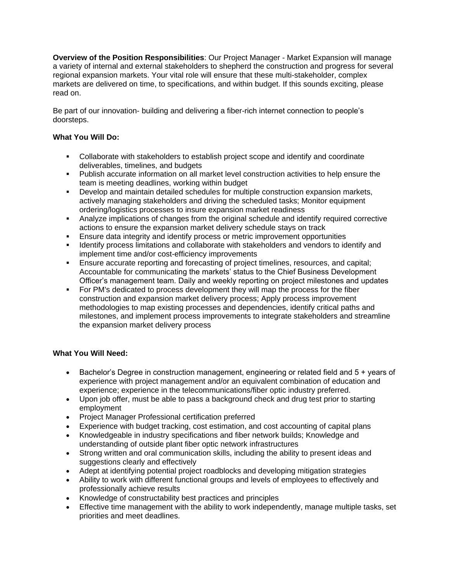**Overview of the Position Responsibilities**: Our Project Manager - Market Expansion will manage a variety of internal and external stakeholders to shepherd the construction and progress for several regional expansion markets. Your vital role will ensure that these multi-stakeholder, complex markets are delivered on time, to specifications, and within budget. If this sounds exciting, please read on.

Be part of our innovation- building and delivering a fiber-rich internet connection to people's doorsteps.

## **What You Will Do:**

- Collaborate with stakeholders to establish project scope and identify and coordinate deliverables, timelines, and budgets
- Publish accurate information on all market level construction activities to help ensure the team is meeting deadlines, working within budget
- Develop and maintain detailed schedules for multiple construction expansion markets, actively managing stakeholders and driving the scheduled tasks; Monitor equipment ordering/logistics processes to insure expansion market readiness
- **•** Analyze implications of changes from the original schedule and identify required corrective actions to ensure the expansion market delivery schedule stays on track
- Ensure data integrity and identify process or metric improvement opportunities
- **.** Identify process limitations and collaborate with stakeholders and vendors to identify and implement time and/or cost-efficiency improvements
- **Ensure accurate reporting and forecasting of project timelines, resources, and capital;** Accountable for communicating the markets' status to the Chief Business Development Officer's management team. Daily and weekly reporting on project milestones and updates
- For PM's dedicated to process development they will map the process for the fiber construction and expansion market delivery process; Apply process improvement methodologies to map existing processes and dependencies, identify critical paths and milestones, and implement process improvements to integrate stakeholders and streamline the expansion market delivery process

## **What You Will Need:**

- Bachelor's Degree in construction management, engineering or related field and 5 + years of experience with project management and/or an equivalent combination of education and experience; experience in the telecommunications/fiber optic industry preferred.
- Upon job offer, must be able to pass a background check and drug test prior to starting employment
- Project Manager Professional certification preferred
- Experience with budget tracking, cost estimation, and cost accounting of capital plans
- Knowledgeable in industry specifications and fiber network builds; Knowledge and understanding of outside plant fiber optic network infrastructures
- Strong written and oral communication skills, including the ability to present ideas and suggestions clearly and effectively
- Adept at identifying potential project roadblocks and developing mitigation strategies
- Ability to work with different functional groups and levels of employees to effectively and professionally achieve results
- Knowledge of constructability best practices and principles
- Effective time management with the ability to work independently, manage multiple tasks, set priorities and meet deadlines.